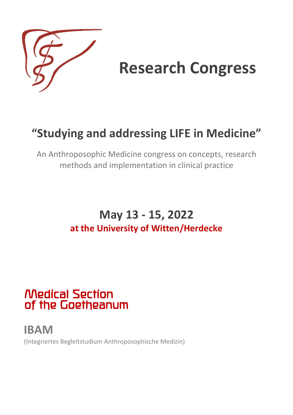

# **Research Congress**

# **"Studying and addressing LIFE in Medicine"**

An Anthroposophic Medicine congress on concepts, research methods and implementation in clinical practice

### **May 13 - 15, 2022 at the University of Witten/Herdecke**

# Medical Section of the Goetheanum

**IBAM**  (Integriertes Begleitstudium Anthroposophische Medizin)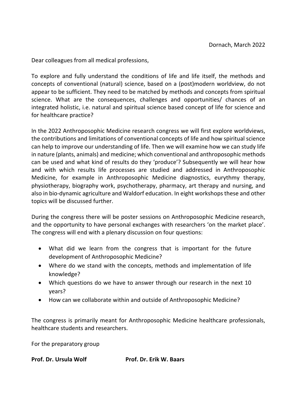Dear colleagues from all medical professions,

To explore and fully understand the conditions of life and life itself, the methods and concepts of conventional (natural) science, based on a (post)modern worldview, do not appear to be sufficient. They need to be matched by methods and concepts from spiritual science. What are the consequences, challenges and opportunities/ chances of an integrated holistic, i.e. natural and spiritual science based concept of life for science and for healthcare practice?

In the 2022 Anthroposophic Medicine research congress we will first explore worldviews, the contributions and limitations of conventional concepts of life and how spiritual science can help to improve our understanding of life. Then we will examine how we can study life in nature (plants, animals) and medicine; which conventional and anthroposophic methods can be used and what kind of results do they 'produce'? Subsequently we will hear how and with which results life processes are studied and addressed in Anthroposophic Medicine, for example in Anthroposophic Medicine diagnostics, eurythmy therapy, physiotherapy, biography work, psychotherapy, pharmacy, art therapy and nursing, and also in bio-dynamic agriculture and Waldorf education. In eight workshops these and other topics will be discussed further.

During the congress there will be poster sessions on Anthroposophic Medicine research, and the opportunity to have personal exchanges with researchers 'on the market place'. The congress will end with a plenary discussion on four questions:

- What did we learn from the congress that is important for the future development of Anthroposophic Medicine?
- Where do we stand with the concepts, methods and implementation of life knowledge?
- Which questions do we have to answer through our research in the next 10 years?
- How can we collaborate within and outside of Anthroposophic Medicine?

The congress is primarily meant for Anthroposophic Medicine healthcare professionals, healthcare students and researchers.

For the preparatory group

**Prof. Dr. Ursula Wolf Prof. Dr. Erik W. Baars**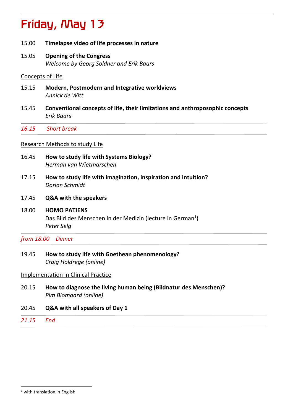# Friday, May 13

- 15.00 **Timelapse video of life processes in nature**
- 15.05 **Opening of the Congress** *Welcome by Georg Soldner and Erik Baars*

#### Concepts of Life

- 15.15 **Modern, Postmodern and Integrative worldviews** *Annick de Witt*
- 15.45 **Conventional concepts of life, their limitations and anthroposophic concepts**  *Erik Baars*

*16.15 Short break*

#### Research Methods to study Life

- 16.45 **How to study life with Systems Biology?**  *Herman van Wietmarschen*
- 17.15 **How to study life with imagination, inspiration and intuition?**  *Dorian Schmidt*
- 17.45 **Q&A with the speakers**

#### 18.00 **HOMO PATIENS**

Das Bild des Menschen in der Medizin (lecture in German<sup>1</sup>) *Peter Selg*

*from 18.00 Dinner*

#### 19.45 **How to study life with Goethean phenomenology?**  *Craig Holdrege (online)*

Implementation in Clinical Practice

- 20.15 **How to diagnose the living human being (Bildnatur des Menschen)?** *Pim Blomaard (online)*
- 20.45 **Q&A with all speakers of Day 1**
- *21.15 End*

 $1$  with translation in English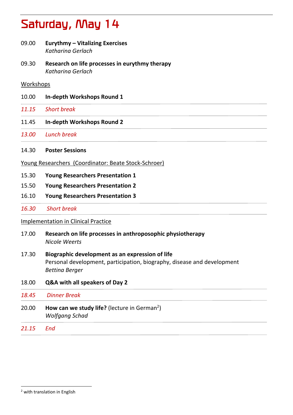# Saturday, May 14

- 09.00 **Eurythmy – Vitalizing Exercises** *Katharina Gerlach*
- 09.30 **Research on life processes in eurythmy therapy**  *Katharina Gerlach*

#### Workshops

- 10.00 **In-depth Workshops Round 1**
- *11.15 Short break*
- 11.45 **In-depth Workshops Round 2**

*13.00 Lunch break*

- 14.30 **Poster Sessions**
- Young Researchers (Coordinator: Beate Stock-Schroer)
- 15.30 **Young Researchers Presentation 1**
- 15.50 **Young Researchers Presentation 2**
- 16.10 **Young Researchers Presentation 3**
- *16.30 Short break*

#### Implementation in Clinical Practice

- 17.00 **Research on life processes in anthroposophic physiotherapy**  *Nicole Weerts*
- 17.30 **Biographic development as an expression of life**  Personal development, participation, biography, disease and development *Bettina Berger*
- 18.00 **Q&A with all speakers of Day 2**

|       | 18.45 Dinner Break                                                                |
|-------|-----------------------------------------------------------------------------------|
| 20.00 | How can we study life? (lecture in German <sup>2</sup> )<br><b>Wolfgang Schad</b> |
| 21.15 | End                                                                               |

<sup>2</sup> with translation in English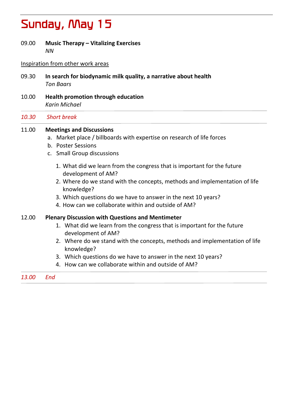## Sunday, May 15

09.00 **Music Therapy – Vitalizing Exercises** *NN*

#### Inspiration from other work areas

- 09.30 **In search for biodynamic milk quality, a narrative about health** *Ton Baars*
- 10.00 **Health promotion through education** *Karin Michael*

#### *10.30 Short break*

#### 11.00 **Meetings and Discussions**

- a. Market place / billboards with expertise on research of life forces
- b. Poster Sessions
- c. Small Group discussions
	- 1. What did we learn from the congress that is important for the future development of AM?
	- 2. Where do we stand with the concepts, methods and implementation of life knowledge?
	- 3. Which questions do we have to answer in the next 10 years?
	- 4. How can we collaborate within and outside of AM?

#### 12.00 **Plenary Discussion with Questions and Mentimeter**

- 1. What did we learn from the congress that is important for the future development of AM?
- 2. Where do we stand with the concepts, methods and implementation of life knowledge?
- 3. Which questions do we have to answer in the next 10 years?
- 4. How can we collaborate within and outside of AM?

#### *13.00 End*  $\overline{a}$